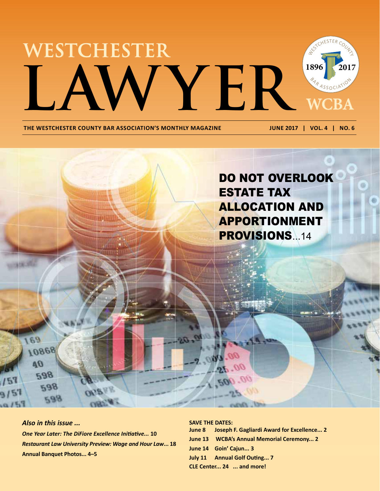

THE WESTCHESTER COUNTY BAR ASSOCIATION'S MONTHLY MAGAZINE **JUNE 2017 | VOL. 4 | NO. 6** 



*Also in this issue ... One Year Later: The DiFiore Excellence Initiative...* **10** *Restaurant Law University Preview: Wage and Hour Law***... 18 Annual Banquet Photos... 4–5**

**SAVE THE DATES:** 

**June 8 Joseph F. Gagliardi Award for Excellence... 2**

**June 13 WCBA's Annual Memorial Ceremony... 2**

**June 14 Goin' Cajun... 3**

**July 11 Annual Golf Outing... 7**

**CLE Center... 24 ... and more!**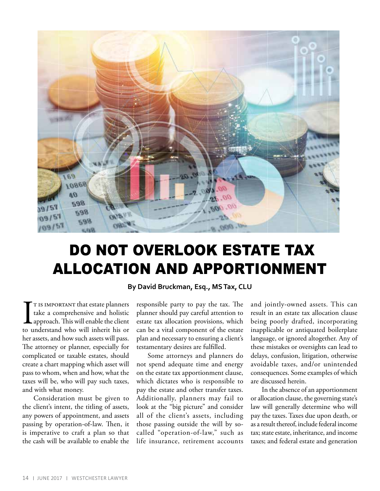

# DO NOT OVERLOOK ESTATE TAX ALLOCATION AND APPORTIONMENT

**By David Bruckman, Esq., MS Tax, CLU**

T IS IMPORTANT that estate planners<br>take a comprehensive and holistic<br>approach. This will enable the client<br>to understand who will inherit his or t is important that estate planners take a comprehensive and holistic approach. This will enable the client her assets, and how such assets will pass. The attorney or planner, especially for complicated or taxable estates, should create a chart mapping which asset will pass to whom, when and how, what the taxes will be, who will pay such taxes, and with what money.

Consideration must be given to the client's intent, the titling of assets, any powers of appointment, and assets passing by operation-of-law. Then, it is imperative to craft a plan so that the cash will be available to enable the

responsible party to pay the tax. The planner should pay careful attention to estate tax allocation provisions, which can be a vital component of the estate plan and necessary to ensuring a client's testamentary desires are fulfilled.

Some attorneys and planners do not spend adequate time and energy on the estate tax apportionment clause, which dictates who is responsible to pay the estate and other transfer taxes. Additionally, planners may fail to look at the "big picture" and consider all of the client's assets, including those passing outside the will by socalled "operation-of-law," such as life insurance, retirement accounts and jointly-owned assets. This can result in an estate tax allocation clause being poorly drafted, incorporating inapplicable or antiquated boilerplate language, or ignored altogether. Any of these mistakes or oversights can lead to delays, confusion, litigation, otherwise avoidable taxes, and/or unintended consequences. Some examples of which are discussed herein.

In the absence of an apportionment or allocation clause, the governing state's law will generally determine who will pay the taxes. Taxes due upon death, or as a result thereof, include federal income tax; state estate, inheritance, and income taxes; and federal estate and generation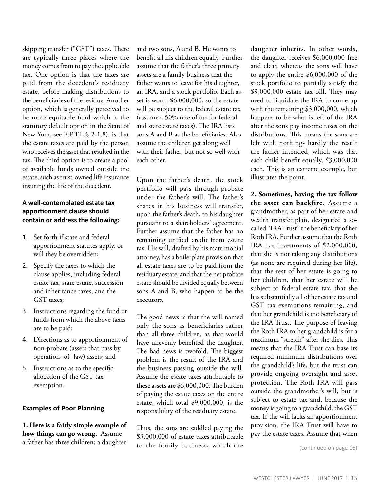skipping transfer ("GST") taxes. There are typically three places where the money comes from to pay the applicable tax. One option is that the taxes are paid from the decedent's residuary estate, before making distributions to the beneficiaries of the residue. Another option, which is generally perceived to be more equitable (and which is the statutory default option in the State of New York, see E.P.T.L.§ 2-1.8), is that the estate taxes are paid by the person who receives the asset that resulted in the tax. The third option is to create a pool of available funds owned outside the estate, such as trust-owned life insurance insuring the life of the decedent.

# **A well-contemplated estate tax apportionment clause should contain or address the following:**

- 1. Set forth if state and federal apportionment statutes apply, or will they be overridden;
- 2. Specify the taxes to which the clause applies, including federal estate tax, state estate, succession and inheritance taxes, and the GST taxes;
- 3. Instructions regarding the fund or funds from which the above taxes are to be paid;
- 4. Directions as to apportionment of non-probate (assets that pass by operation- of- law) assets; and
- 5. Instructions as to the specific allocation of the GST tax exemption.

### **Examples of Poor Planning**

**1. Here is a fairly simple example of how things can go wrong.** Assume a father has three children; a daughter and two sons, A and B. He wants to benefit all his children equally. Further assume that the father's three primary assets are a family business that the father wants to leave for his daughter, an IRA, and a stock portfolio. Each asset is worth \$6,000,000, so the estate will be subject to the federal estate tax (assume a 50% rate of tax for federal and state estate taxes). The IRA lists sons A and B as the beneficiaries. Also assume the children get along well with their father, but not so well with each other.

Upon the father's death, the stock portfolio will pass through probate under the father's will. The father's shares in his business will transfer, upon the father's death, to his daughter pursuant to a shareholders' agreement. Further assume that the father has no remaining unified credit from estate tax. His will, drafted by his matrimonial attorney, has a boilerplate provision that all estate taxes are to be paid from the residuary estate, and that the net probate estate should be divided equally between sons A and B, who happen to be the executors.

The good news is that the will named only the sons as beneficiaries rather than all three children, as that would have unevenly benefited the daughter. The bad news is twofold. The biggest problem is the result of the IRA and the business passing outside the will. Assume the estate taxes attributable to these assets are \$6,000,000. The burden of paying the estate taxes on the entire estate, which total \$9,000,000, is the responsibility of the residuary estate.

Thus, the sons are saddled paying the \$3,000,000 of estate taxes attributable to the family business, which the daughter inherits. In other words, the daughter receives \$6,000,000 free and clear, whereas the sons will have to apply the entire \$6,000,000 of the stock portfolio to partially satisfy the \$9,000,000 estate tax bill. They may need to liquidate the IRA to come up with the remaining \$3,000,000, which happens to be what is left of the IRA after the sons pay income taxes on the distributions. This means the sons are left with nothing- hardly the result the father intended, which was that each child benefit equally, \$3,000,000 each. This is an extreme example, but illustrates the point.

**2. Sometimes, having the tax follow the asset can backfire.** Assume a grandmother, as part of her estate and wealth transfer plan, designated a socalled "IRA Trust" the beneficiary of her Roth IRA. Further assume that the Roth IRA has investments of \$2,000,000, that she is not taking any distributions (as none are required during her life), that the rest of her estate is going to her children, that her estate will be subject to federal estate tax, that she has substantially all of her estate tax and GST tax exemptions remaining, and that her grandchild is the beneficiary of the IRA Trust. The purpose of leaving the Roth IRA to her grandchild is for a maximum "stretch" after she dies. This means that the IRA Trust can base its required minimum distributions over the grandchild's life, but the trust can provide ongoing oversight and asset protection. The Roth IRA will pass outside the grandmother's will, but is subject to estate tax and, because the money is going to a grandchild, the GST tax. If the will lacks an apportionment provision, the IRA Trust will have to pay the estate taxes. Assume that when

(continued on page 16)